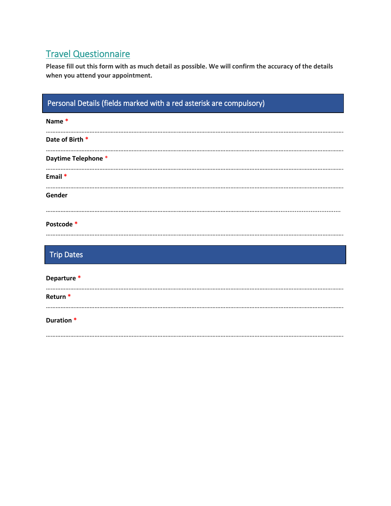# Travel Questionnaire

**Please fill out this form with as much detail as possible. We will confirm the accuracy of the details when you attend your appointment.** 

| Personal Details (fields marked with a red asterisk are compulsory) |  |  |
|---------------------------------------------------------------------|--|--|
| Name*                                                               |  |  |
| Date of Birth *                                                     |  |  |
| Daytime Telephone *                                                 |  |  |
| Email *                                                             |  |  |
| Gender                                                              |  |  |
| Postcode *                                                          |  |  |
| <b>Trip Dates</b>                                                   |  |  |
| Departure *                                                         |  |  |
| Return <sup>*</sup>                                                 |  |  |
| Duration *                                                          |  |  |
|                                                                     |  |  |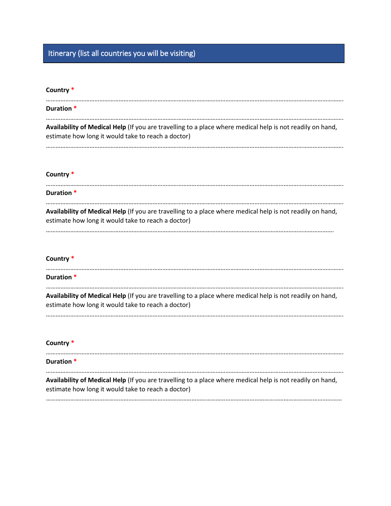# Itinerary (list all countries you will be visiting)

## **Country \***

| Duration *                                                                                                                                                      |
|-----------------------------------------------------------------------------------------------------------------------------------------------------------------|
| Availability of Medical Help (If you are travelling to a place where medical help is not readily on hand,<br>estimate how long it would take to reach a doctor) |

………………………………………………………………………………………………………………………………………………………………….

## **Country \***

| Duration *                                                                                                                                                      |  |
|-----------------------------------------------------------------------------------------------------------------------------------------------------------------|--|
| Availability of Medical Help (If you are travelling to a place where medical help is not readily on hand,<br>estimate how long it would take to reach a doctor) |  |

## **Country \***

| Duration *                                                                                                                                                      |
|-----------------------------------------------------------------------------------------------------------------------------------------------------------------|
| Availability of Medical Help (If you are travelling to a place where medical help is not readily on hand,<br>estimate how long it would take to reach a doctor) |

#### **Country \***

## …………………………………………………………………………………………………………………………………………………………………. **Duration \*** …………………………………………………………………………………………………………………………………………………………………. **Availability of Medical Help** (If you are travelling to a place where medical help is not readily on hand, estimate how long it would take to reach a doctor)

…………………………………………………………………………………………………………………………………………………………………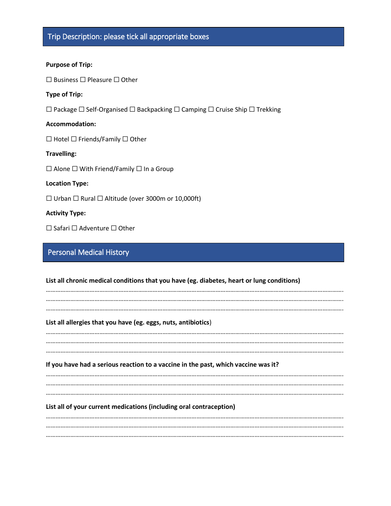#### **Purpose of Trip:**

☐ Business ☐ Pleasure ☐ Other

#### **Type of Trip:**

☐ Package ☐ Self-Organised ☐ Backpacking ☐ Camping ☐ Cruise Ship ☐ Trekking

#### **Accommodation:**

☐ Hotel ☐ Friends/Family ☐ Other

#### **Travelling:**

☐ Alone ☐ With Friend/Family ☐ In a Group

#### **Location Type:**

☐ Urban ☐ Rural ☐ Altitude (over 3000m or 10,000ft)

#### **Activity Type:**

☐ Safari ☐ Adventure ☐ Other

# Personal Medical History

| List all chronic medical conditions that you have (eg. diabetes, heart or lung conditions) |  |  |
|--------------------------------------------------------------------------------------------|--|--|
|                                                                                            |  |  |
| List all allergies that you have (eg. eggs, nuts, antibiotics)                             |  |  |
|                                                                                            |  |  |
| If you have had a serious reaction to a vaccine in the past, which vaccine was it?         |  |  |
|                                                                                            |  |  |
| List all of your current medications (including oral contraception)                        |  |  |
|                                                                                            |  |  |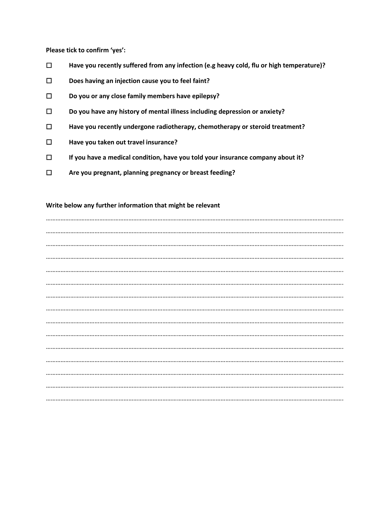**Please tick to confirm 'yes':**

- ☐ **Have you recently suffered from any infection (e.g heavy cold, flu or high temperature)?**
- ☐ **Does having an injection cause you to feel faint?**
- ☐ **Do you or any close family members have epilepsy?**
- ☐ **Do you have any history of mental illness including depression or anxiety?**
- ☐ **Have you recently undergone radiotherapy, chemotherapy or steroid treatment?**
- ☐ **Have you taken out travel insurance?**
- ☐ **If you have a medical condition, have you told your insurance company about it?**
- ☐ **Are you pregnant, planning pregnancy or breast feeding?**

#### **Write below any further information that might be relevant**